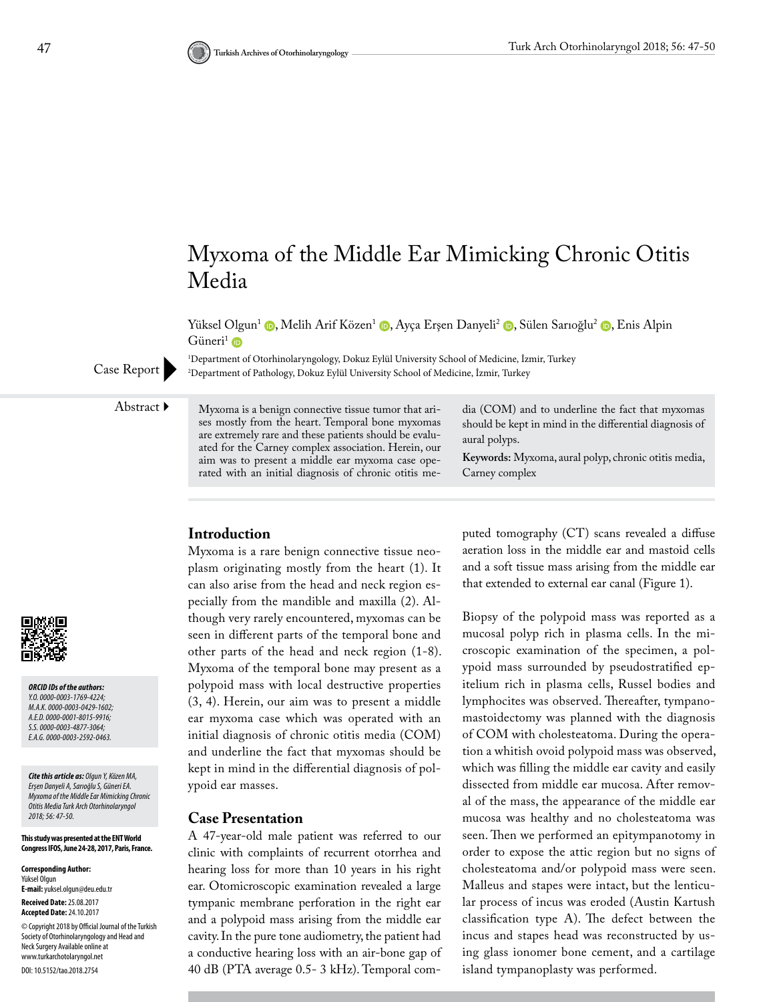

Yüksel Olgun<sup>1</sup> (D[,](https://orcid.org/0000-0003-0429-1602) Melih Arif Közen<sup>1</sup> (D[,](https://orcid.org/0000-0003-4877-3064) Ayça Erşen Danyeli<sup>2</sup> (D, Sülen Sarıoğlu<sup>2</sup> (D, Enis Alpin Güneri<sup>1</sup>  $\bullet$ 

1 Department of Otorhinolaryngology, Dokuz Eylül University School of Medicine, İzmir, Turkey Department of Pathology, Dokuz Eylül University School of Medicine, İzmir, Turkey

Case Report

Abstract  $\blacktriangleright$  Myxoma is a benign connective tissue tumor that arises mostly from the heart. Temporal bone myxomas are extremely rare and these patients should be evaluated for the Carney complex association. Herein, our aim was to present a middle ear myxoma case operated with an initial diagnosis of chronic otitis me-

dia (COM) and to underline the fact that myxomas should be kept in mind in the differential diagnosis of aural polyps.

**Keywords:** Myxoma, aural polyp, chronic otitis media, Carney complex

# **Introduction**

Myxoma is a rare benign connective tissue neoplasm originating mostly from the heart (1). It can also arise from the head and neck region especially from the mandible and maxilla (2). Although very rarely encountered, myxomas can be seen in different parts of the temporal bone and other parts of the head and neck region (1-8). Myxoma of the temporal bone may present as a polypoid mass with local destructive properties (3, 4). Herein, our aim was to present a middle ear myxoma case which was operated with an initial diagnosis of chronic otitis media (COM) and underline the fact that myxomas should be kept in mind in the differential diagnosis of polypoid ear masses.

#### **Case Presentation**

A 47-year-old male patient was referred to our clinic with complaints of recurrent otorrhea and hearing loss for more than 10 years in his right ear. Otomicroscopic examination revealed a large tympanic membrane perforation in the right ear and a polypoid mass arising from the middle ear cavity. In the pure tone audiometry, the patient had a conductive hearing loss with an air-bone gap of 40 dB (PTA average 0.5- 3 kHz). Temporal computed tomography (CT) scans revealed a diffuse aeration loss in the middle ear and mastoid cells and a soft tissue mass arising from the middle ear that extended to external ear canal (Figure 1).

Biopsy of the polypoid mass was reported as a mucosal polyp rich in plasma cells. In the microscopic examination of the specimen, a polypoid mass surrounded by pseudostratified epitelium rich in plasma cells, Russel bodies and lymphocites was observed. Thereafter, tympanomastoidectomy was planned with the diagnosis of COM with cholesteatoma. During the operation a whitish ovoid polypoid mass was observed, which was filling the middle ear cavity and easily dissected from middle ear mucosa. After removal of the mass, the appearance of the middle ear mucosa was healthy and no cholesteatoma was seen. Then we performed an epitympanotomy in order to expose the attic region but no signs of cholesteatoma and/or polypoid mass were seen. Malleus and stapes were intact, but the lenticular process of incus was eroded (Austin Kartush classification type A). The defect between the incus and stapes head was reconstructed by using glass ionomer bone cement, and a cartilage island tympanoplasty was performed.



*ORCID IDs of the authors: Y.O. 0000-0003-1769-4224; M.A.K. 0000-0003-0429-1602; A.E.D. 0000-0001-8015-9916; S.S. 0000-0003-4877-3064; E.A.G. 0000-0003-2592-0463.*

*Cite this article as: Olgun Y, Közen MA, Erşen Danyeli A, Sarıoğlu S, Güneri EA. Myxoma of the Middle Ear Mimicking Chronic Otitis Media Turk Arch Otorhinolaryngol 2018; 56: 47-50.*

**This study was presented at the ENT World Congress IFOS, June 24-28, 2017, Paris, France.**

**Corresponding Author:**  Yüksel Olgun **E-mail:** yuksel.olgun@deu.edu.tr **Received Date:** 25.08.2017 **Accepted Date:** 24.10.2017 © Copyright 2018 by Official Journal of the Turkish Society of Otorhinolaryngology and Head and Neck Surgery Available online at www.turkarchotolaryngol.net DOI: 10.5152/tao.2018.2754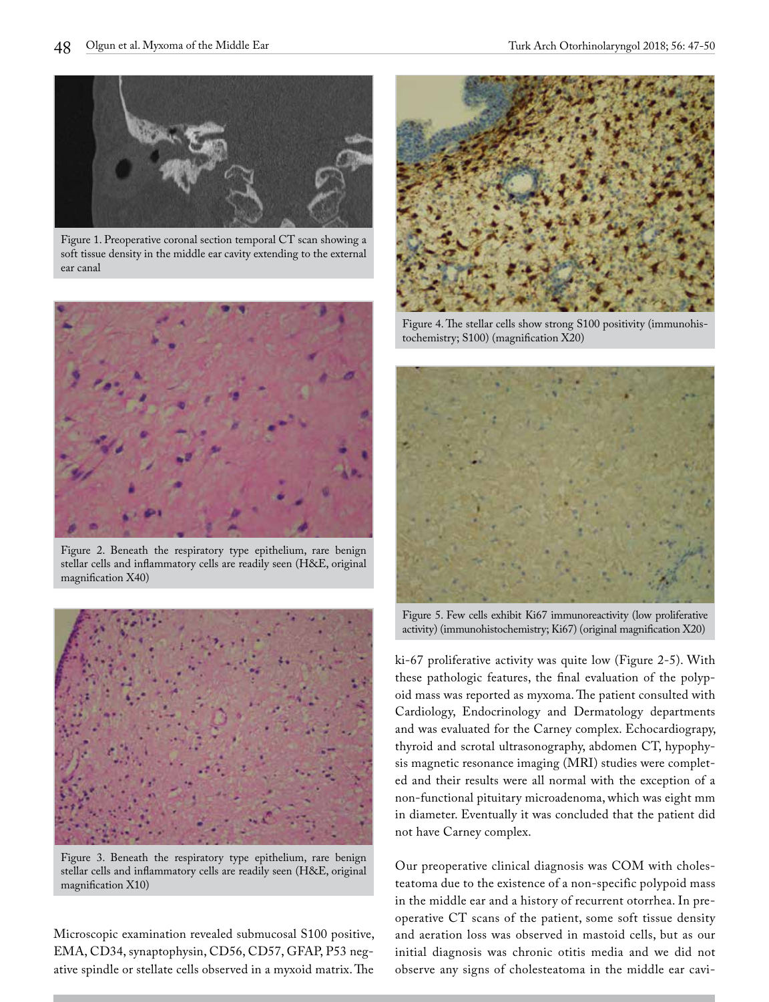

Figure 1. Preoperative coronal section temporal CT scan showing a soft tissue density in the middle ear cavity extending to the external ear canal



Figure 2. Beneath the respiratory type epithelium, rare benign stellar cells and inflammatory cells are readily seen (H&E, original magnification X40)



Figure 3. Beneath the respiratory type epithelium, rare benign stellar cells and inflammatory cells are readily seen (H&E, original magnification X10)

Microscopic examination revealed submucosal S100 positive, EMA, CD34, synaptophysin, CD56, CD57, GFAP, P53 negative spindle or stellate cells observed in a myxoid matrix. The



Figure 4. The stellar cells show strong S100 positivity (immunohistochemistry; S100) (magnification X20)



Figure 5. Few cells exhibit Ki67 immunoreactivity (low proliferative activity) (immunohistochemistry; Ki67) (original magnification X20)

ki-67 proliferative activity was quite low (Figure 2-5). With these pathologic features, the final evaluation of the polypoid mass was reported as myxoma. The patient consulted with Cardiology, Endocrinology and Dermatology departments and was evaluated for the Carney complex. Echocardiograpy, thyroid and scrotal ultrasonography, abdomen CT, hypophysis magnetic resonance imaging (MRI) studies were completed and their results were all normal with the exception of a non-functional pituitary microadenoma, which was eight mm in diameter. Eventually it was concluded that the patient did not have Carney complex.

Our preoperative clinical diagnosis was COM with cholesteatoma due to the existence of a non-specific polypoid mass in the middle ear and a history of recurrent otorrhea. In preoperative CT scans of the patient, some soft tissue density and aeration loss was observed in mastoid cells, but as our initial diagnosis was chronic otitis media and we did not observe any signs of cholesteatoma in the middle ear cavi-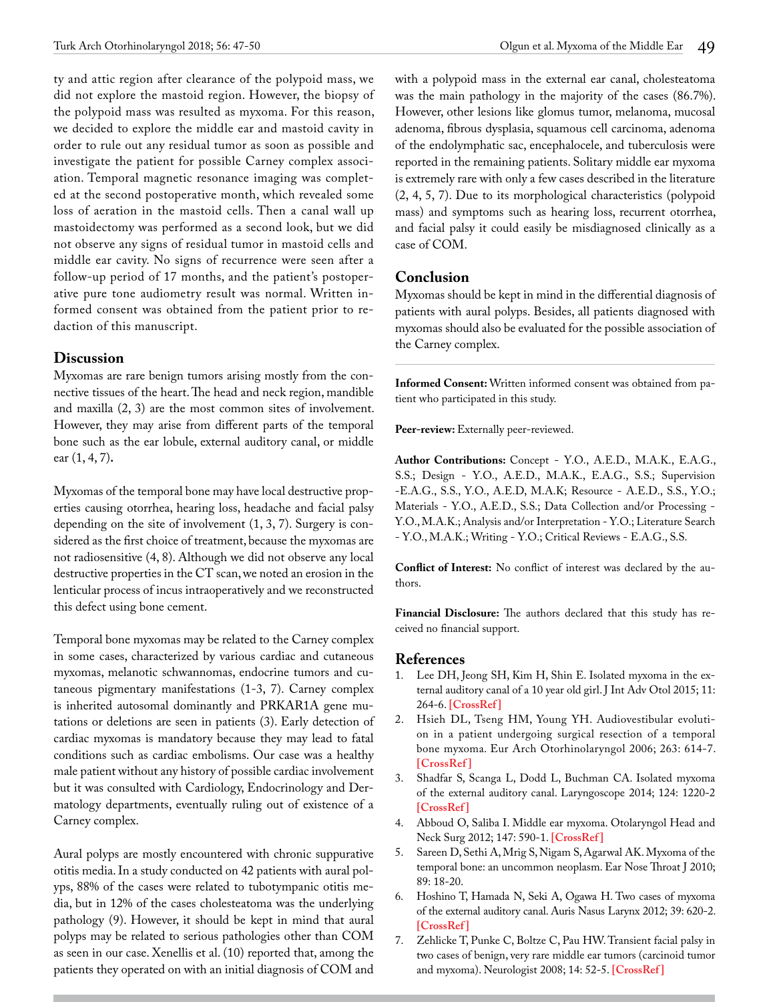ty and attic region after clearance of the polypoid mass, we did not explore the mastoid region. However, the biopsy of the polypoid mass was resulted as myxoma. For this reason, we decided to explore the middle ear and mastoid cavity in order to rule out any residual tumor as soon as possible and investigate the patient for possible Carney complex association. Temporal magnetic resonance imaging was completed at the second postoperative month, which revealed some loss of aeration in the mastoid cells. Then a canal wall up mastoidectomy was performed as a second look, but we did not observe any signs of residual tumor in mastoid cells and middle ear cavity. No signs of recurrence were seen after a follow-up period of 17 months, and the patient's postoperative pure tone audiometry result was normal. Written informed consent was obtained from the patient prior to redaction of this manuscript.

### **Discussion**

Myxomas are rare benign tumors arising mostly from the connective tissues of the heart. The head and neck region, mandible and maxilla (2, 3) are the most common sites of involvement. However, they may arise from different parts of the temporal bone such as the ear lobule, external auditory canal, or middle ear (1, 4, 7)**.**

Myxomas of the temporal bone may have local destructive properties causing otorrhea, hearing loss, headache and facial palsy depending on the site of involvement (1, 3, 7). Surgery is considered as the first choice of treatment, because the myxomas are not radiosensitive (4, 8). Although we did not observe any local destructive properties in the CT scan, we noted an erosion in the lenticular process of incus intraoperatively and we reconstructed this defect using bone cement.

Temporal bone myxomas may be related to the Carney complex in some cases, characterized by various cardiac and cutaneous myxomas, melanotic schwannomas, endocrine tumors and cutaneous pigmentary manifestations (1-3, 7). Carney complex is inherited autosomal dominantly and PRKAR1A gene mutations or deletions are seen in patients (3). Early detection of cardiac myxomas is mandatory because they may lead to fatal conditions such as cardiac embolisms. Our case was a healthy male patient without any history of possible cardiac involvement but it was consulted with Cardiology, Endocrinology and Dermatology departments, eventually ruling out of existence of a Carney complex.

Aural polyps are mostly encountered with chronic suppurative otitis media. In a study conducted on 42 patients with aural polyps, 88% of the cases were related to tubotympanic otitis media, but in 12% of the cases cholesteatoma was the underlying pathology (9). However, it should be kept in mind that aural polyps may be related to serious pathologies other than COM as seen in our case. Xenellis et al. (10) reported that, among the patients they operated on with an initial diagnosis of COM and

with a polypoid mass in the external ear canal, cholesteatoma was the main pathology in the majority of the cases (86.7%). However, other lesions like glomus tumor, melanoma, mucosal adenoma, fibrous dysplasia, squamous cell carcinoma, adenoma of the endolymphatic sac, encephalocele, and tuberculosis were reported in the remaining patients. Solitary middle ear myxoma is extremely rare with only a few cases described in the literature (2, 4, 5, 7). Due to its morphological characteristics (polypoid mass) and symptoms such as hearing loss, recurrent otorrhea, and facial palsy it could easily be misdiagnosed clinically as a case of COM.

## **Conclusion**

Myxomas should be kept in mind in the differential diagnosis of patients with aural polyps. Besides, all patients diagnosed with myxomas should also be evaluated for the possible association of the Carney complex.

**Informed Consent:** Written informed consent was obtained from patient who participated in this study.

Peer-review: Externally peer-reviewed.

**Author Contributions:** Concept - Y.O., A.E.D., M.A.K., E.A.G., S.S.; Design - Y.O., A.E.D., M.A.K., E.A.G., S.S.; Supervision -E.A.G., S.S., Y.O., A.E.D, M.A.K; Resource - A.E.D., S.S., Y.O.; Materials - Y.O., A.E.D., S.S.; Data Collection and/or Processing - Y.O., M.A.K.; Analysis and/or Interpretation - Y.O.; Literature Search - Y.O., M.A.K.; Writing - Y.O.; Critical Reviews - E.A.G., S.S.

**Conflict of Interest:** No conflict of interest was declared by the authors.

**Financial Disclosure:** The authors declared that this study has received no financial support.

## **References**

- 1. Lee DH, Jeong SH, Kim H, Shin E. Isolated myxoma in the external auditory canal of a 10 year old girl. J Int Adv Otol 2015; 11: 264-6. **[\[CrossRef \]](https://doi.org/10.5152/iao.2015.1555)**
- 2. Hsieh DL, Tseng HM, Young YH. Audiovestibular evolution in a patient undergoing surgical resection of a temporal bone myxoma. Eur Arch Otorhinolaryngol 2006; 263: 614-7. **[\[CrossRef \]](https://doi.org/10.1007/s00405-006-0039-5)**
- 3. Shadfar S, Scanga L, Dodd L, Buchman CA. Isolated myxoma of the external auditory canal. Laryngoscope 2014; 124: 1220-2 **[\[CrossRef \]](https://doi.org/10.1002/lary.24392)**
- 4. Abboud O, Saliba I. Middle ear myxoma. Otolaryngol Head and Neck Surg 2012; 147: 590-1. **[\[CrossRef \]](https://doi.org/10.1177/0194599812444534)**
- 5. Sareen D, Sethi A, Mrig S, Nigam S, Agarwal AK. Myxoma of the temporal bone: an uncommon neoplasm. Ear Nose Throat J 2010; 89: 18-20.
- 6. Hoshino T, Hamada N, Seki A, Ogawa H. Two cases of myxoma of the external auditory canal. Auris Nasus Larynx 2012; 39: 620-2. **[\[CrossRef \]](https://doi.org/10.1016/j.anl.2011.10.016)**
- 7. Zehlicke T, Punke C, Boltze C, Pau HW. Transient facial palsy in two cases of benign, very rare middle ear tumors (carcinoid tumor and myxoma). Neurologist 2008; 14: 52-5. **[\[CrossRef \]](https://doi.org/10.1097/NRL.0b013e31814b8dd1)**